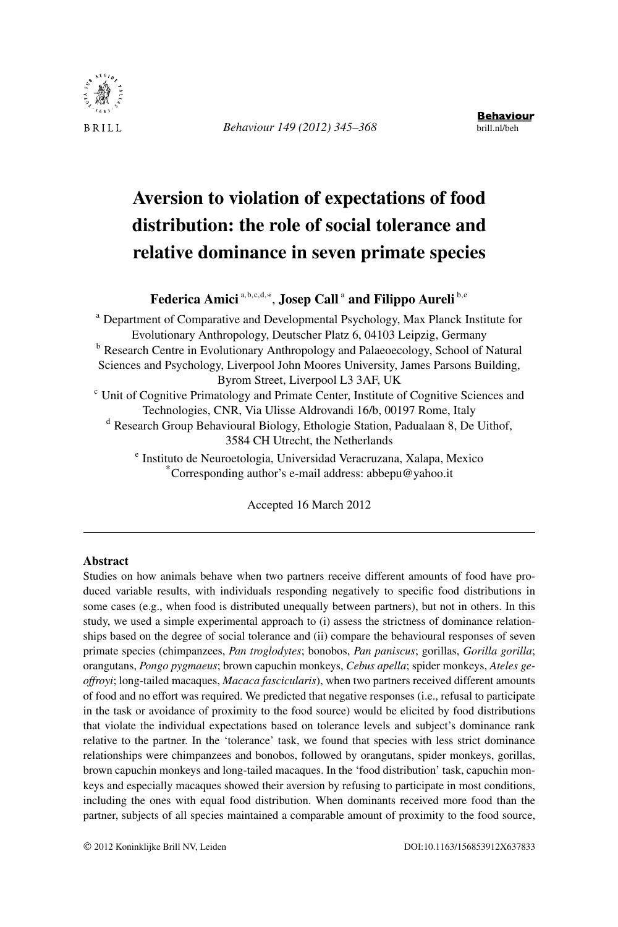

*Behaviour 149 (2012) 345–368* brill.nl/beh

# **Aversion to violation of expectations of food distribution: the role of social tolerance and relative dominance in seven primate species**

**Federica Amici** <sup>a</sup>*,*b*,*c*,*d*,*<sup>∗</sup> , **Josep Call** <sup>a</sup> **and Filippo Aureli** <sup>b</sup>*,*<sup>e</sup>

<sup>a</sup> Department of Comparative and Developmental Psychology, Max Planck Institute for Evolutionary Anthropology, Deutscher Platz 6, 04103 Leipzig, Germany **b** Research Centre in Evolutionary Anthropology and Palaeoecology, School of Natural Sciences and Psychology, Liverpool John Moores University, James Parsons Building, Byrom Street, Liverpool L3 3AF, UK <sup>c</sup> Unit of Cognitive Primatology and Primate Center, Institute of Cognitive Sciences and Technologies, CNR, Via Ulisse Aldrovandi 16/b, 00197 Rome, Italy <sup>d</sup> Research Group Behavioural Biology, Ethologie Station, Padualaan 8, De Uithof, 3584 CH Utrecht, the Netherlands

<sup>e</sup> Instituto de Neuroetologia, Universidad Veracruzana, Xalapa, Mexico \*Corresponding author's e-mail address: abbepu@yahoo.it

Accepted 16 March 2012

#### **Abstract**

Studies on how animals behave when two partners receive different amounts of food have produced variable results, with individuals responding negatively to specific food distributions in some cases (e.g., when food is distributed unequally between partners), but not in others. In this study, we used a simple experimental approach to (i) assess the strictness of dominance relationships based on the degree of social tolerance and (ii) compare the behavioural responses of seven primate species (chimpanzees, *Pan troglodytes*; bonobos, *Pan paniscus*; gorillas, *Gorilla gorilla*; orangutans, *Pongo pygmaeus*; brown capuchin monkeys, *Cebus apella*; spider monkeys, *Ateles geoffroyi*; long-tailed macaques, *Macaca fascicularis*), when two partners received different amounts of food and no effort was required. We predicted that negative responses (i.e., refusal to participate in the task or avoidance of proximity to the food source) would be elicited by food distributions that violate the individual expectations based on tolerance levels and subject's dominance rank relative to the partner. In the 'tolerance' task, we found that species with less strict dominance relationships were chimpanzees and bonobos, followed by orangutans, spider monkeys, gorillas, brown capuchin monkeys and long-tailed macaques. In the 'food distribution' task, capuchin monkeys and especially macaques showed their aversion by refusing to participate in most conditions, including the ones with equal food distribution. When dominants received more food than the partner, subjects of all species maintained a comparable amount of proximity to the food source,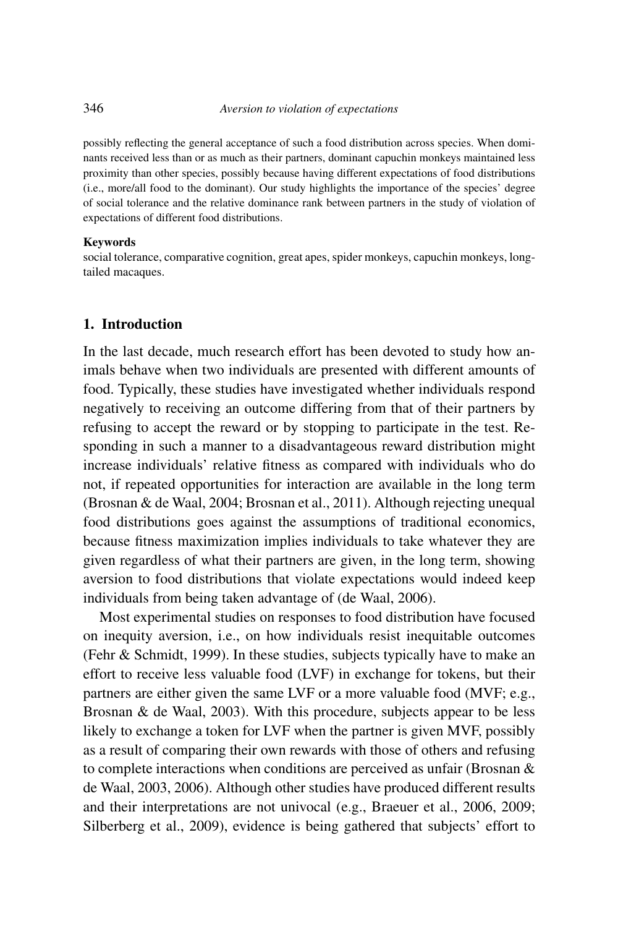possibly reflecting the general acceptance of such a food distribution across species. When dominants received less than or as much as their partners, dominant capuchin monkeys maintained less proximity than other species, possibly because having different expectations of food distributions (i.e., more/all food to the dominant). Our study highlights the importance of the species' degree of social tolerance and the relative dominance rank between partners in the study of violation of expectations of different food distributions.

#### **Keywords**

social tolerance, comparative cognition, great apes, spider monkeys, capuchin monkeys, longtailed macaques.

# **1. Introduction**

In the last decade, much research effort has been devoted to study how animals behave when two individuals are presented with different amounts of food. Typically, these studies have investigated whether individuals respond negatively to receiving an outcome differing from that of their partners by refusing to accept the reward or by stopping to participate in the test. Responding in such a manner to a disadvantageous reward distribution might increase individuals' relative fitness as compared with individuals who do not, if repeated opportunities for interaction are available in the long term (Brosnan & de Waal, 2004; Brosnan et al., 2011). Although rejecting unequal food distributions goes against the assumptions of traditional economics, because fitness maximization implies individuals to take whatever they are given regardless of what their partners are given, in the long term, showing aversion to food distributions that violate expectations would indeed keep individuals from being taken advantage of (de Waal, 2006).

Most experimental studies on responses to food distribution have focused on inequity aversion, i.e., on how individuals resist inequitable outcomes (Fehr & Schmidt, 1999). In these studies, subjects typically have to make an effort to receive less valuable food (LVF) in exchange for tokens, but their partners are either given the same LVF or a more valuable food (MVF; e.g., Brosnan & de Waal, 2003). With this procedure, subjects appear to be less likely to exchange a token for LVF when the partner is given MVF, possibly as a result of comparing their own rewards with those of others and refusing to complete interactions when conditions are perceived as unfair (Brosnan & de Waal, 2003, 2006). Although other studies have produced different results and their interpretations are not univocal (e.g., Braeuer et al., 2006, 2009; Silberberg et al., 2009), evidence is being gathered that subjects' effort to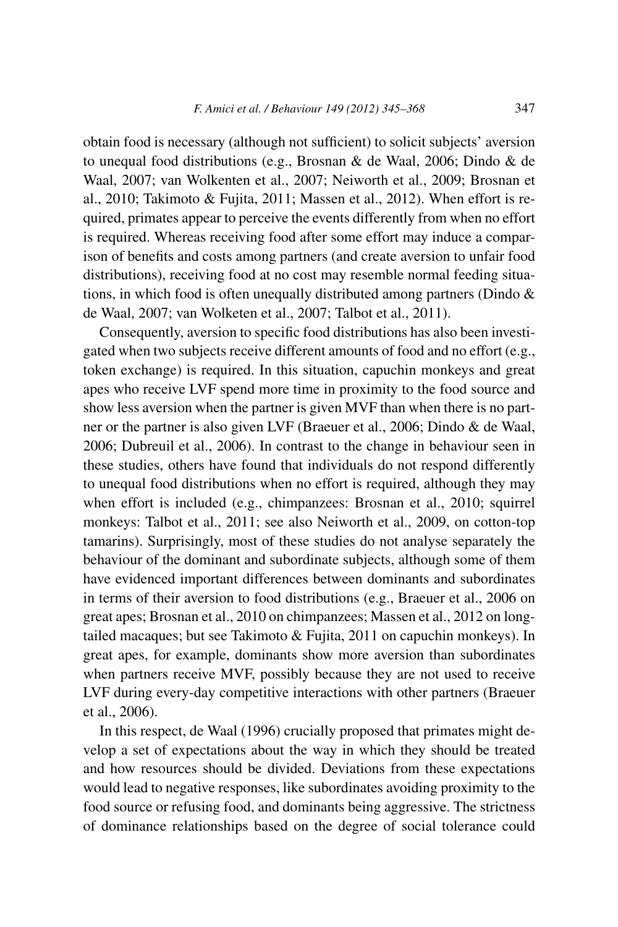obtain food is necessary (although not sufficient) to solicit subjects' aversion to unequal food distributions (e.g., Brosnan & de Waal, 2006; Dindo & de Waal, 2007; van Wolkenten et al., 2007; Neiworth et al., 2009; Brosnan et al., 2010; Takimoto & Fujita, 2011; Massen et al., 2012). When effort is required, primates appear to perceive the events differently from when no effort is required. Whereas receiving food after some effort may induce a comparison of benefits and costs among partners (and create aversion to unfair food distributions), receiving food at no cost may resemble normal feeding situations, in which food is often unequally distributed among partners (Dindo & de Waal, 2007; van Wolketen et al., 2007; Talbot et al., 2011).

Consequently, aversion to specific food distributions has also been investigated when two subjects receive different amounts of food and no effort (e.g., token exchange) is required. In this situation, capuchin monkeys and great apes who receive LVF spend more time in proximity to the food source and show less aversion when the partner is given MVF than when there is no partner or the partner is also given LVF (Braeuer et al., 2006; Dindo & de Waal, 2006; Dubreuil et al., 2006). In contrast to the change in behaviour seen in these studies, others have found that individuals do not respond differently to unequal food distributions when no effort is required, although they may when effort is included (e.g., chimpanzees: Brosnan et al., 2010; squirrel monkeys: Talbot et al., 2011; see also Neiworth et al., 2009, on cotton-top tamarins). Surprisingly, most of these studies do not analyse separately the behaviour of the dominant and subordinate subjects, although some of them have evidenced important differences between dominants and subordinates in terms of their aversion to food distributions (e.g., Braeuer et al., 2006 on great apes; Brosnan et al., 2010 on chimpanzees; Massen et al., 2012 on longtailed macaques; but see Takimoto & Fujita, 2011 on capuchin monkeys). In great apes, for example, dominants show more aversion than subordinates when partners receive MVF, possibly because they are not used to receive LVF during every-day competitive interactions with other partners (Braeuer et al., 2006).

In this respect, de Waal (1996) crucially proposed that primates might develop a set of expectations about the way in which they should be treated and how resources should be divided. Deviations from these expectations would lead to negative responses, like subordinates avoiding proximity to the food source or refusing food, and dominants being aggressive. The strictness of dominance relationships based on the degree of social tolerance could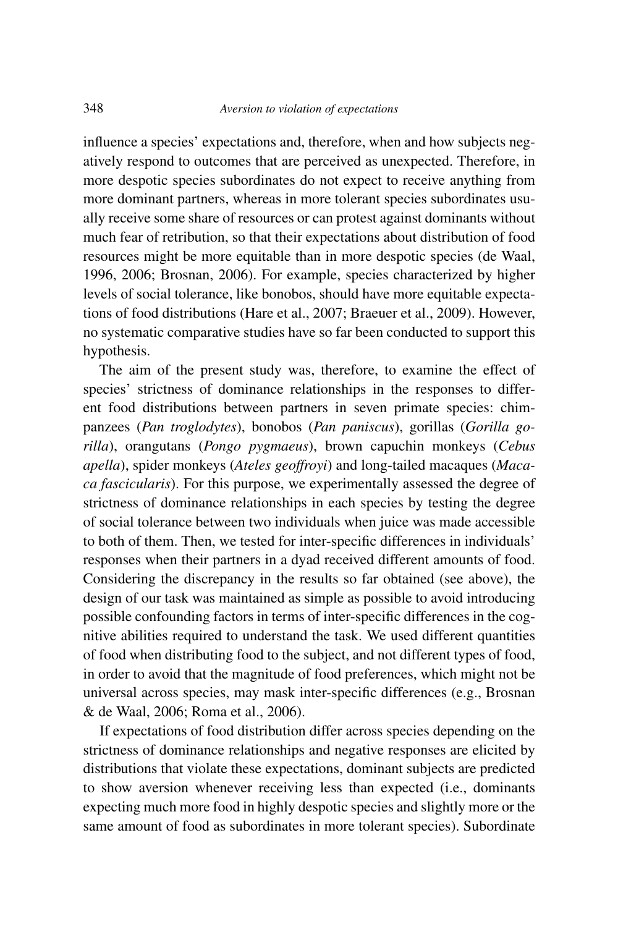influence a species' expectations and, therefore, when and how subjects negatively respond to outcomes that are perceived as unexpected. Therefore, in more despotic species subordinates do not expect to receive anything from more dominant partners, whereas in more tolerant species subordinates usually receive some share of resources or can protest against dominants without much fear of retribution, so that their expectations about distribution of food resources might be more equitable than in more despotic species (de Waal, 1996, 2006; Brosnan, 2006). For example, species characterized by higher levels of social tolerance, like bonobos, should have more equitable expectations of food distributions (Hare et al., 2007; Braeuer et al., 2009). However, no systematic comparative studies have so far been conducted to support this hypothesis.

The aim of the present study was, therefore, to examine the effect of species' strictness of dominance relationships in the responses to different food distributions between partners in seven primate species: chimpanzees (*Pan troglodytes*), bonobos (*Pan paniscus*), gorillas (*Gorilla gorilla*), orangutans (*Pongo pygmaeus*), brown capuchin monkeys (*Cebus apella*), spider monkeys (*Ateles geoffroyi*) and long-tailed macaques (*Macaca fascicularis*). For this purpose, we experimentally assessed the degree of strictness of dominance relationships in each species by testing the degree of social tolerance between two individuals when juice was made accessible to both of them. Then, we tested for inter-specific differences in individuals' responses when their partners in a dyad received different amounts of food. Considering the discrepancy in the results so far obtained (see above), the design of our task was maintained as simple as possible to avoid introducing possible confounding factors in terms of inter-specific differences in the cognitive abilities required to understand the task. We used different quantities of food when distributing food to the subject, and not different types of food, in order to avoid that the magnitude of food preferences, which might not be universal across species, may mask inter-specific differences (e.g., Brosnan & de Waal, 2006; Roma et al., 2006).

If expectations of food distribution differ across species depending on the strictness of dominance relationships and negative responses are elicited by distributions that violate these expectations, dominant subjects are predicted to show aversion whenever receiving less than expected (i.e., dominants expecting much more food in highly despotic species and slightly more or the same amount of food as subordinates in more tolerant species). Subordinate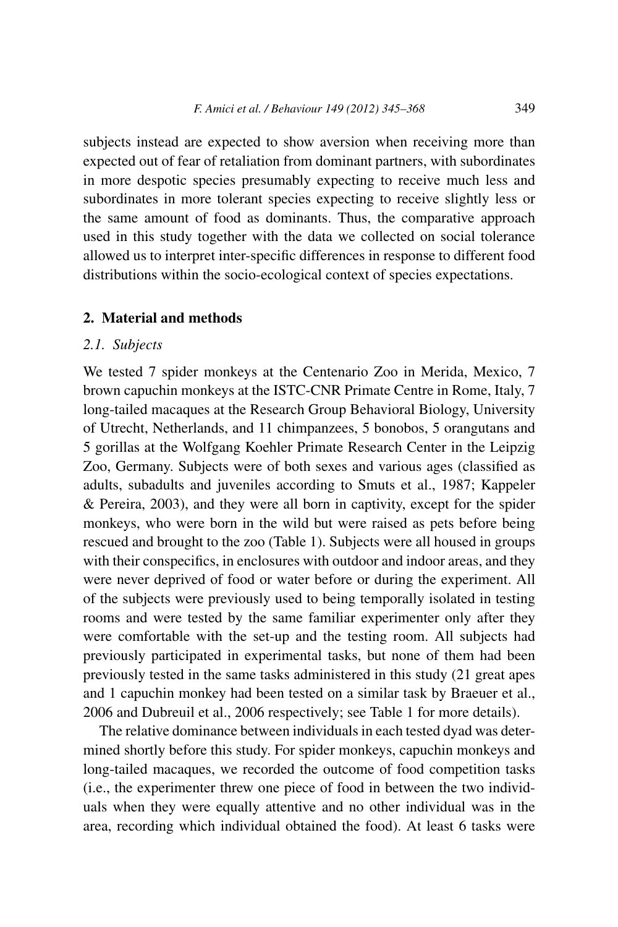subjects instead are expected to show aversion when receiving more than expected out of fear of retaliation from dominant partners, with subordinates in more despotic species presumably expecting to receive much less and subordinates in more tolerant species expecting to receive slightly less or the same amount of food as dominants. Thus, the comparative approach used in this study together with the data we collected on social tolerance allowed us to interpret inter-specific differences in response to different food distributions within the socio-ecological context of species expectations.

# **2. Material and methods**

# *2.1. Subjects*

We tested 7 spider monkeys at the Centenario Zoo in Merida, Mexico, 7 brown capuchin monkeys at the ISTC-CNR Primate Centre in Rome, Italy, 7 long-tailed macaques at the Research Group Behavioral Biology, University of Utrecht, Netherlands, and 11 chimpanzees, 5 bonobos, 5 orangutans and 5 gorillas at the Wolfgang Koehler Primate Research Center in the Leipzig Zoo, Germany. Subjects were of both sexes and various ages (classified as adults, subadults and juveniles according to Smuts et al., 1987; Kappeler & Pereira, 2003), and they were all born in captivity, except for the spider monkeys, who were born in the wild but were raised as pets before being rescued and brought to the zoo (Table 1). Subjects were all housed in groups with their conspecifics, in enclosures with outdoor and indoor areas, and they were never deprived of food or water before or during the experiment. All of the subjects were previously used to being temporally isolated in testing rooms and were tested by the same familiar experimenter only after they were comfortable with the set-up and the testing room. All subjects had previously participated in experimental tasks, but none of them had been previously tested in the same tasks administered in this study (21 great apes and 1 capuchin monkey had been tested on a similar task by Braeuer et al., 2006 and Dubreuil et al., 2006 respectively; see Table 1 for more details).

The relative dominance between individuals in each tested dyad was determined shortly before this study. For spider monkeys, capuchin monkeys and long-tailed macaques, we recorded the outcome of food competition tasks (i.e., the experimenter threw one piece of food in between the two individuals when they were equally attentive and no other individual was in the area, recording which individual obtained the food). At least 6 tasks were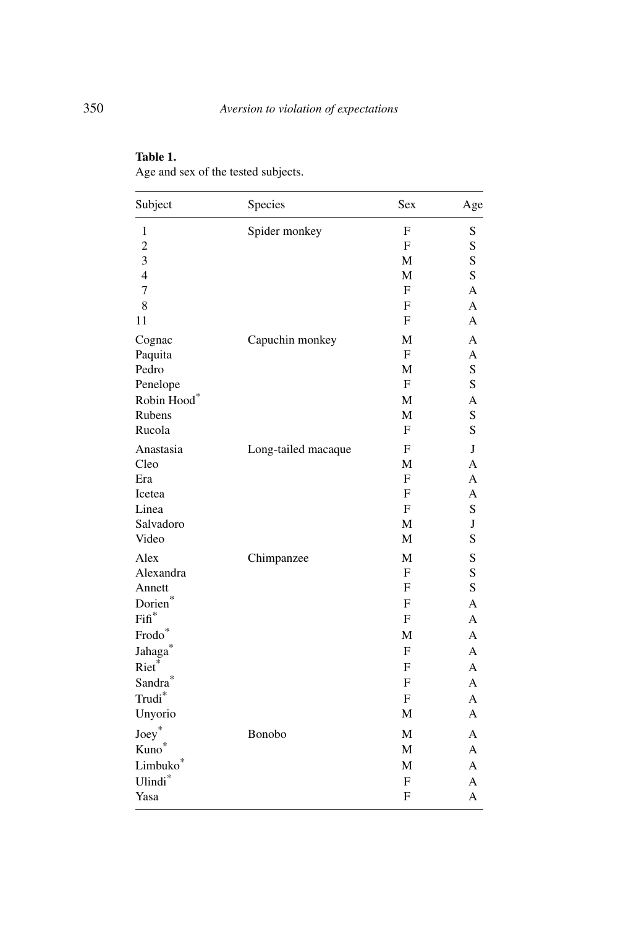# **Table 1.**

Age and sex of the tested subjects.

| Subject                  | Species             | Sex          | Age       |
|--------------------------|---------------------|--------------|-----------|
| $\,1$                    | Spider monkey       | ${\rm F}$    | S         |
| $\overline{c}$           |                     | F            | S         |
| 3                        |                     | М            | S         |
| $\overline{4}$           |                     | М            | S         |
| 7                        |                     | F            | A         |
| 8                        |                     | F            | A         |
| 11                       |                     | F            | A         |
| Cognac                   | Capuchin monkey     | М            | А         |
| Paquita                  |                     | F            | A         |
| Pedro                    |                     | M            | S         |
| Penelope                 |                     | $\mathbf F$  | S         |
| Robin Hood*              |                     | M            | A         |
| Rubens                   |                     | M            | S         |
| Rucola                   |                     | F            | S         |
| Anastasia                | Long-tailed macaque | $\mathbf{F}$ | $\bf J$   |
| Cleo                     |                     | M            | А         |
| Era                      |                     | F            | A         |
| Icetea                   |                     | F            | A         |
| Linea                    |                     | F            | ${\bf S}$ |
| Salvadoro                |                     | M            | $\bf J$   |
| Video                    |                     | M            | S         |
| Alex                     | Chimpanzee          | M            | S         |
| Alexandra                |                     | F            | S         |
| Annett                   |                     | $\mathbf F$  | S         |
| Dorien*                  |                     | F            | A         |
| $\mathop{\text{Fifi}}^*$ |                     | F            | A         |
| $\mathrm{Frodo}^*$       |                     | М            | A         |
| Jahaga                   |                     | F            | A         |
| Riet*                    |                     | F            | A         |
| Sandra*                  |                     | F            | A         |
| Trudi*                   |                     | F            | A         |
| Unyorio                  |                     | М            | A         |
| $\mathrm{Joey}^*$        | Bonobo              | М            | A         |
| $Kuno^*$                 |                     | М            | A         |
| Limbuko*                 |                     | М            | A         |
| Ulindi*                  |                     | F            | А         |
| Yasa                     |                     | F            | A         |
|                          |                     |              |           |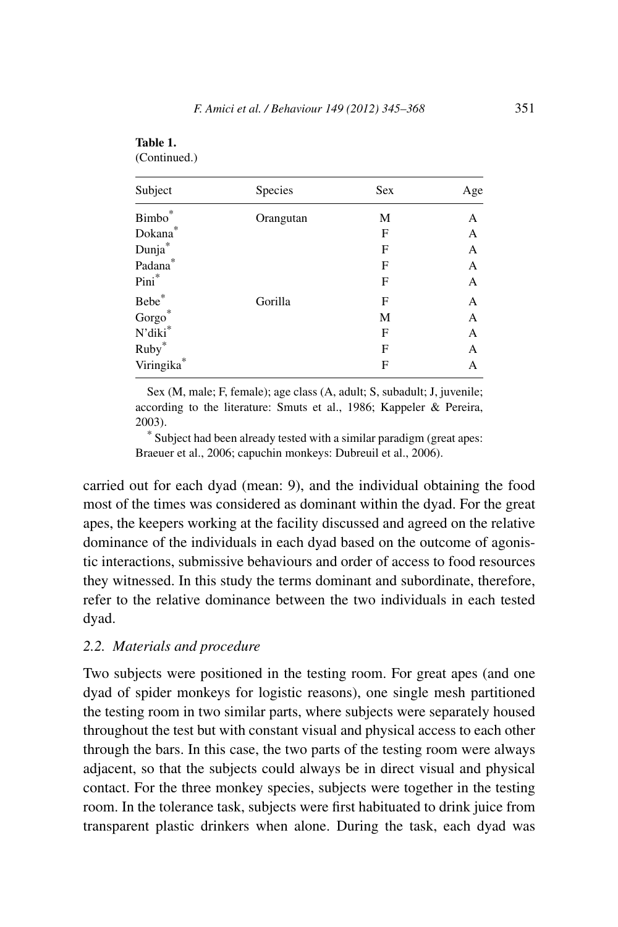| <b>Sex</b> | Age |
|------------|-----|
| М          | A   |
| F          | A   |
| F          | A   |
| F          | A   |
| F          | A   |
| F          | A   |
| M          | A   |
| F          | A   |
| F          | A   |
| F          | A   |
|            |     |

### Sex (M, male; F, female); age class (A, adult; S, subadult; J, juvenile; according to the literature: Smuts et al., 1986; Kappeler & Pereira, 2003).

\* Subject had been already tested with a similar paradigm (great apes: Braeuer et al., 2006; capuchin monkeys: Dubreuil et al., 2006).

carried out for each dyad (mean: 9), and the individual obtaining the food most of the times was considered as dominant within the dyad. For the great apes, the keepers working at the facility discussed and agreed on the relative dominance of the individuals in each dyad based on the outcome of agonistic interactions, submissive behaviours and order of access to food resources they witnessed. In this study the terms dominant and subordinate, therefore, refer to the relative dominance between the two individuals in each tested dyad.

# *2.2. Materials and procedure*

**Table 1.** (Continued.)

Two subjects were positioned in the testing room. For great apes (and one dyad of spider monkeys for logistic reasons), one single mesh partitioned the testing room in two similar parts, where subjects were separately housed throughout the test but with constant visual and physical access to each other through the bars. In this case, the two parts of the testing room were always adjacent, so that the subjects could always be in direct visual and physical contact. For the three monkey species, subjects were together in the testing room. In the tolerance task, subjects were first habituated to drink juice from transparent plastic drinkers when alone. During the task, each dyad was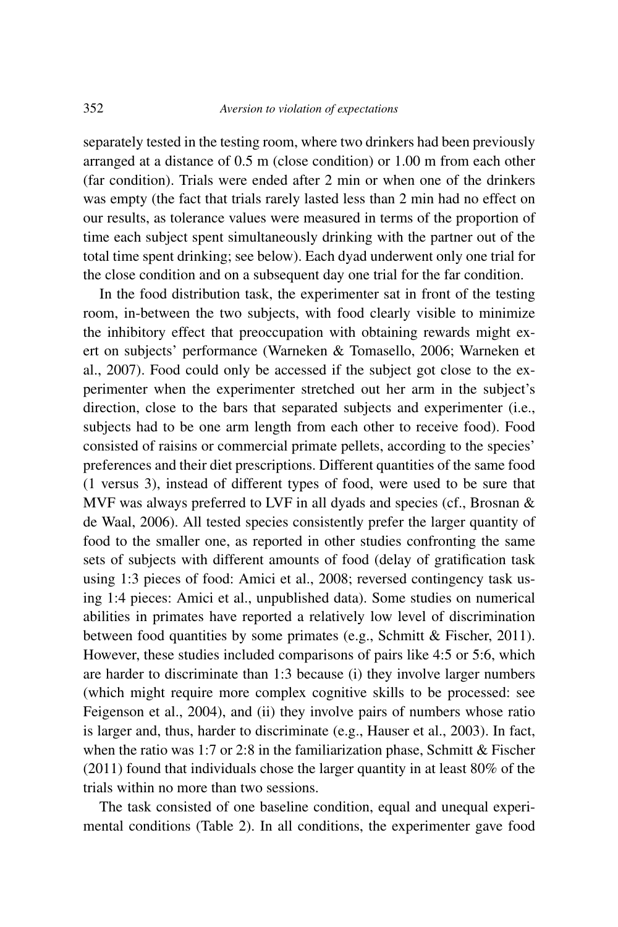separately tested in the testing room, where two drinkers had been previously arranged at a distance of 0.5 m (close condition) or 1.00 m from each other (far condition). Trials were ended after 2 min or when one of the drinkers was empty (the fact that trials rarely lasted less than 2 min had no effect on our results, as tolerance values were measured in terms of the proportion of time each subject spent simultaneously drinking with the partner out of the total time spent drinking; see below). Each dyad underwent only one trial for the close condition and on a subsequent day one trial for the far condition.

In the food distribution task, the experimenter sat in front of the testing room, in-between the two subjects, with food clearly visible to minimize the inhibitory effect that preoccupation with obtaining rewards might exert on subjects' performance (Warneken & Tomasello, 2006; Warneken et al., 2007). Food could only be accessed if the subject got close to the experimenter when the experimenter stretched out her arm in the subject's direction, close to the bars that separated subjects and experimenter (i.e., subjects had to be one arm length from each other to receive food). Food consisted of raisins or commercial primate pellets, according to the species' preferences and their diet prescriptions. Different quantities of the same food (1 versus 3), instead of different types of food, were used to be sure that MVF was always preferred to LVF in all dyads and species (cf., Brosnan & de Waal, 2006). All tested species consistently prefer the larger quantity of food to the smaller one, as reported in other studies confronting the same sets of subjects with different amounts of food (delay of gratification task using 1:3 pieces of food: Amici et al., 2008; reversed contingency task using 1:4 pieces: Amici et al., unpublished data). Some studies on numerical abilities in primates have reported a relatively low level of discrimination between food quantities by some primates (e.g., Schmitt & Fischer, 2011). However, these studies included comparisons of pairs like 4:5 or 5:6, which are harder to discriminate than 1:3 because (i) they involve larger numbers (which might require more complex cognitive skills to be processed: see Feigenson et al., 2004), and (ii) they involve pairs of numbers whose ratio is larger and, thus, harder to discriminate (e.g., Hauser et al., 2003). In fact, when the ratio was 1:7 or 2:8 in the familiarization phase, Schmitt  $&$  Fischer (2011) found that individuals chose the larger quantity in at least 80% of the trials within no more than two sessions.

The task consisted of one baseline condition, equal and unequal experimental conditions (Table 2). In all conditions, the experimenter gave food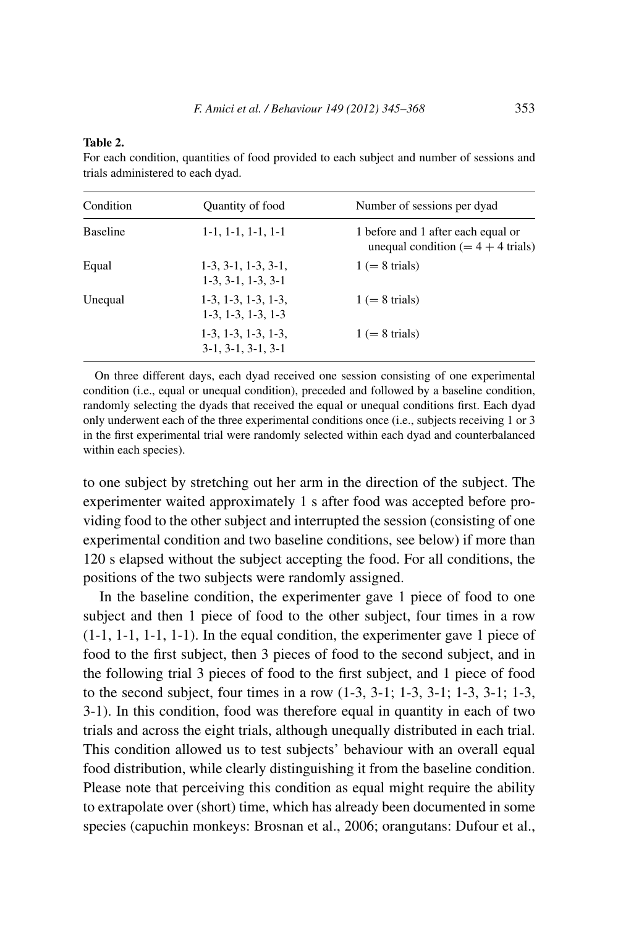#### **Table 2.**

For each condition, quantities of food provided to each subject and number of sessions and trials administered to each dyad.

| Condition       | Quantity of food                              | Number of sessions per dyad                                                |
|-----------------|-----------------------------------------------|----------------------------------------------------------------------------|
| <b>Baseline</b> | $1-1, 1-1, 1-1, 1-1$                          | 1 before and 1 after each equal or<br>unequal condition $(= 4 + 4$ trials) |
| Equal           | $1-3, 3-1, 1-3, 3-1,$<br>$1-3, 3-1, 1-3, 3-1$ | $1 (= 8 \text{ trials})$                                                   |
| Unequal         | $1-3, 1-3, 1-3, 1-3.$<br>$1-3, 1-3, 1-3, 1-3$ | $1 (= 8 \text{ trials})$                                                   |
|                 | $1-3, 1-3, 1-3, 1-3,$<br>$3-1, 3-1, 3-1, 3-1$ | $1 (= 8 \text{ trials})$                                                   |

On three different days, each dyad received one session consisting of one experimental condition (i.e., equal or unequal condition), preceded and followed by a baseline condition, randomly selecting the dyads that received the equal or unequal conditions first. Each dyad only underwent each of the three experimental conditions once (i.e., subjects receiving 1 or 3 in the first experimental trial were randomly selected within each dyad and counterbalanced within each species).

to one subject by stretching out her arm in the direction of the subject. The experimenter waited approximately 1 s after food was accepted before providing food to the other subject and interrupted the session (consisting of one experimental condition and two baseline conditions, see below) if more than 120 s elapsed without the subject accepting the food. For all conditions, the positions of the two subjects were randomly assigned.

In the baseline condition, the experimenter gave 1 piece of food to one subject and then 1 piece of food to the other subject, four times in a row (1-1, 1-1, 1-1, 1-1). In the equal condition, the experimenter gave 1 piece of food to the first subject, then 3 pieces of food to the second subject, and in the following trial 3 pieces of food to the first subject, and 1 piece of food to the second subject, four times in a row (1-3, 3-1; 1-3, 3-1; 1-3, 3-1; 1-3, 3-1). In this condition, food was therefore equal in quantity in each of two trials and across the eight trials, although unequally distributed in each trial. This condition allowed us to test subjects' behaviour with an overall equal food distribution, while clearly distinguishing it from the baseline condition. Please note that perceiving this condition as equal might require the ability to extrapolate over (short) time, which has already been documented in some species (capuchin monkeys: Brosnan et al., 2006; orangutans: Dufour et al.,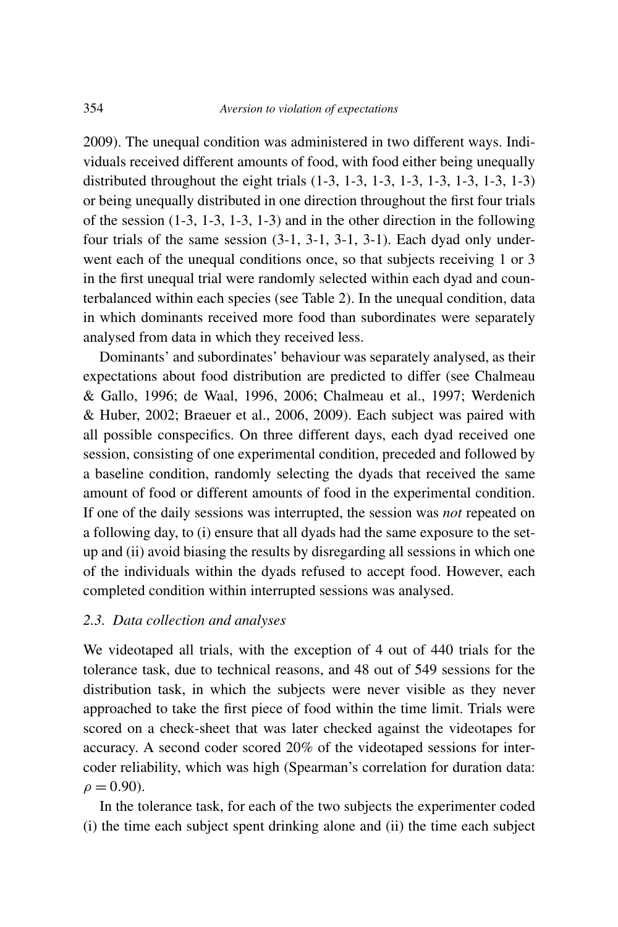2009). The unequal condition was administered in two different ways. Individuals received different amounts of food, with food either being unequally distributed throughout the eight trials (1-3, 1-3, 1-3, 1-3, 1-3, 1-3, 1-3, 1-3) or being unequally distributed in one direction throughout the first four trials of the session (1-3, 1-3, 1-3, 1-3) and in the other direction in the following four trials of the same session (3-1, 3-1, 3-1, 3-1). Each dyad only underwent each of the unequal conditions once, so that subjects receiving 1 or 3 in the first unequal trial were randomly selected within each dyad and counterbalanced within each species (see Table 2). In the unequal condition, data in which dominants received more food than subordinates were separately analysed from data in which they received less.

Dominants' and subordinates' behaviour was separately analysed, as their expectations about food distribution are predicted to differ (see Chalmeau & Gallo, 1996; de Waal, 1996, 2006; Chalmeau et al., 1997; Werdenich & Huber, 2002; Braeuer et al., 2006, 2009). Each subject was paired with all possible conspecifics. On three different days, each dyad received one session, consisting of one experimental condition, preceded and followed by a baseline condition, randomly selecting the dyads that received the same amount of food or different amounts of food in the experimental condition. If one of the daily sessions was interrupted, the session was *not* repeated on a following day, to (i) ensure that all dyads had the same exposure to the setup and (ii) avoid biasing the results by disregarding all sessions in which one of the individuals within the dyads refused to accept food. However, each completed condition within interrupted sessions was analysed.

### *2.3. Data collection and analyses*

We videotaped all trials, with the exception of 4 out of 440 trials for the tolerance task, due to technical reasons, and 48 out of 549 sessions for the distribution task, in which the subjects were never visible as they never approached to take the first piece of food within the time limit. Trials were scored on a check-sheet that was later checked against the videotapes for accuracy. A second coder scored 20% of the videotaped sessions for intercoder reliability, which was high (Spearman's correlation for duration data:  $\rho = 0.90$ ).

In the tolerance task, for each of the two subjects the experimenter coded (i) the time each subject spent drinking alone and (ii) the time each subject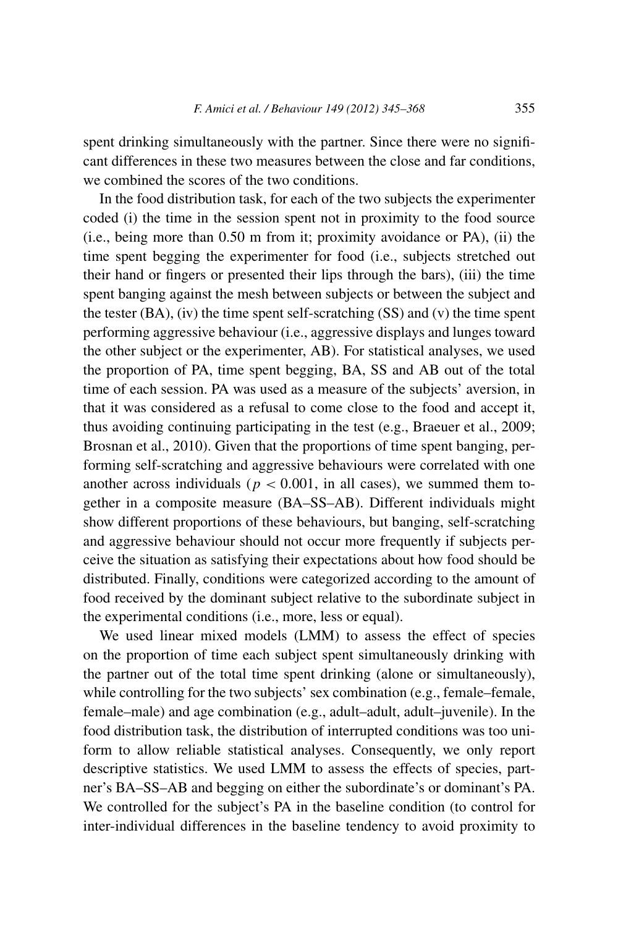spent drinking simultaneously with the partner. Since there were no significant differences in these two measures between the close and far conditions, we combined the scores of the two conditions.

In the food distribution task, for each of the two subjects the experimenter coded (i) the time in the session spent not in proximity to the food source (i.e., being more than 0.50 m from it; proximity avoidance or PA), (ii) the time spent begging the experimenter for food (i.e., subjects stretched out their hand or fingers or presented their lips through the bars), (iii) the time spent banging against the mesh between subjects or between the subject and the tester (BA), (iv) the time spent self-scratching (SS) and (v) the time spent performing aggressive behaviour (i.e., aggressive displays and lunges toward the other subject or the experimenter, AB). For statistical analyses, we used the proportion of PA, time spent begging, BA, SS and AB out of the total time of each session. PA was used as a measure of the subjects' aversion, in that it was considered as a refusal to come close to the food and accept it, thus avoiding continuing participating in the test (e.g., Braeuer et al., 2009; Brosnan et al., 2010). Given that the proportions of time spent banging, performing self-scratching and aggressive behaviours were correlated with one another across individuals ( $p < 0.001$ , in all cases), we summed them together in a composite measure (BA–SS–AB). Different individuals might show different proportions of these behaviours, but banging, self-scratching and aggressive behaviour should not occur more frequently if subjects perceive the situation as satisfying their expectations about how food should be distributed. Finally, conditions were categorized according to the amount of food received by the dominant subject relative to the subordinate subject in the experimental conditions (i.e., more, less or equal).

We used linear mixed models (LMM) to assess the effect of species on the proportion of time each subject spent simultaneously drinking with the partner out of the total time spent drinking (alone or simultaneously), while controlling for the two subjects' sex combination (e.g., female–female, female–male) and age combination (e.g., adult–adult, adult–juvenile). In the food distribution task, the distribution of interrupted conditions was too uniform to allow reliable statistical analyses. Consequently, we only report descriptive statistics. We used LMM to assess the effects of species, partner's BA–SS–AB and begging on either the subordinate's or dominant's PA. We controlled for the subject's PA in the baseline condition (to control for inter-individual differences in the baseline tendency to avoid proximity to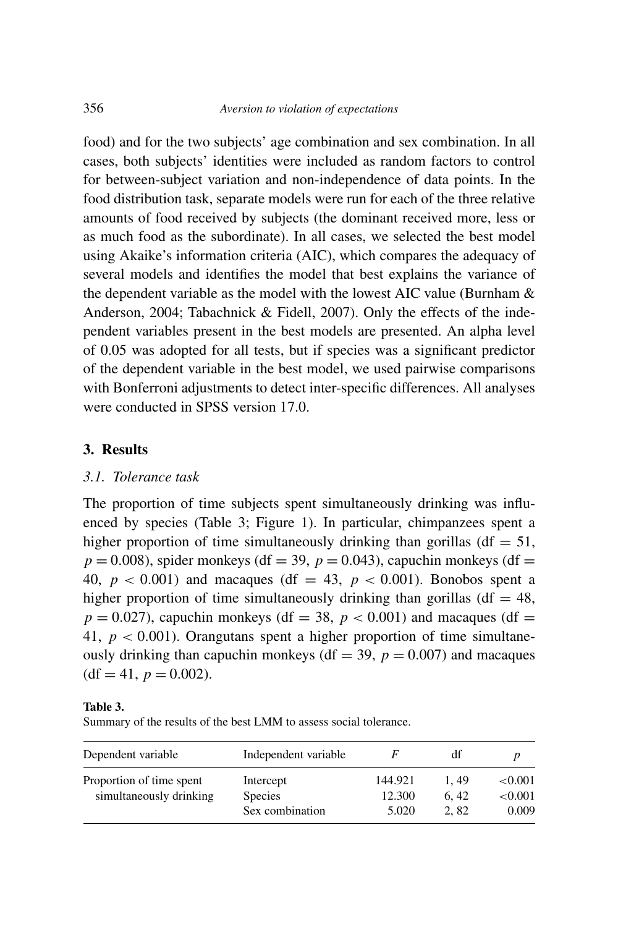food) and for the two subjects' age combination and sex combination. In all cases, both subjects' identities were included as random factors to control for between-subject variation and non-independence of data points. In the food distribution task, separate models were run for each of the three relative amounts of food received by subjects (the dominant received more, less or as much food as the subordinate). In all cases, we selected the best model using Akaike's information criteria (AIC), which compares the adequacy of several models and identifies the model that best explains the variance of the dependent variable as the model with the lowest AIC value (Burnham & Anderson, 2004; Tabachnick & Fidell, 2007). Only the effects of the independent variables present in the best models are presented. An alpha level of 0.05 was adopted for all tests, but if species was a significant predictor of the dependent variable in the best model, we used pairwise comparisons with Bonferroni adjustments to detect inter-specific differences. All analyses were conducted in SPSS version 17.0.

# **3. Results**

# *3.1. Tolerance task*

The proportion of time subjects spent simultaneously drinking was influenced by species (Table 3; Figure 1). In particular, chimpanzees spent a higher proportion of time simultaneously drinking than gorillas ( $df = 51$ ,  $p = 0.008$ ), spider monkeys (df = 39,  $p = 0.043$ ), capuchin monkeys (df = 40,  $p < 0.001$ ) and macaques (df = 43,  $p < 0.001$ ). Bonobos spent a higher proportion of time simultaneously drinking than gorillas ( $df = 48$ ,  $p = 0.027$ ), capuchin monkeys (df = 38,  $p < 0.001$ ) and macaques (df = 41,  $p < 0.001$ ). Orangutans spent a higher proportion of time simultaneously drinking than capuchin monkeys ( $df = 39$ ,  $p = 0.007$ ) and macaques  $(df = 41, p = 0.002).$ 

#### **Table 3.**

Summary of the results of the best LMM to assess social tolerance.

| Dependent variable                                  | Independent variable                           |                            | df                   |                                   |
|-----------------------------------------------------|------------------------------------------------|----------------------------|----------------------|-----------------------------------|
| Proportion of time spent<br>simultaneously drinking | Intercept<br><b>Species</b><br>Sex combination | 144.921<br>12.300<br>5.020 | 1.49<br>6.42<br>2.82 | ${<}0.001$<br>${<}0.001$<br>0.009 |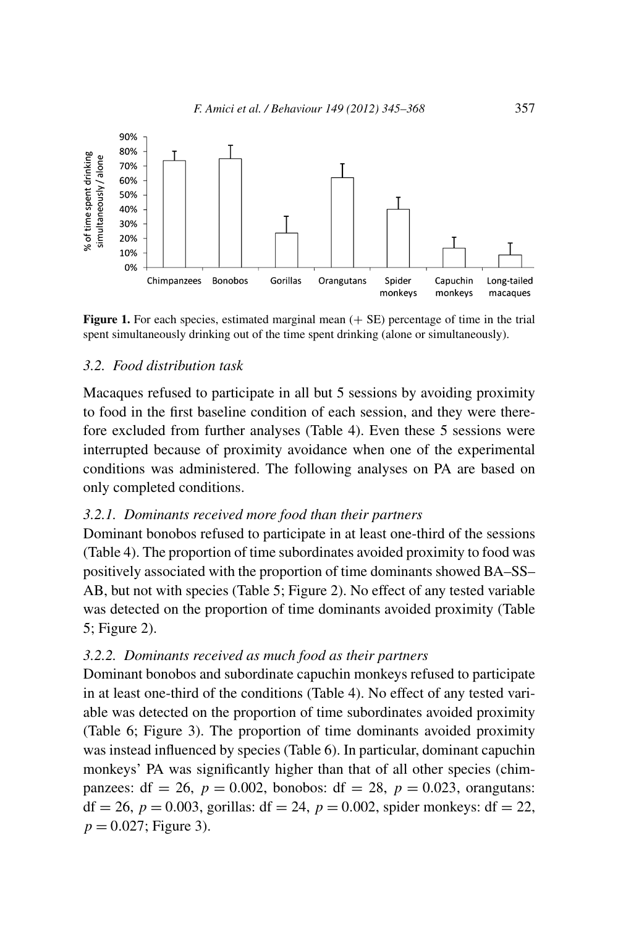

**Figure 1.** For each species, estimated marginal mean  $(+)$  SE) percentage of time in the trial spent simultaneously drinking out of the time spent drinking (alone or simultaneously).

# *3.2. Food distribution task*

Macaques refused to participate in all but 5 sessions by avoiding proximity to food in the first baseline condition of each session, and they were therefore excluded from further analyses (Table 4). Even these 5 sessions were interrupted because of proximity avoidance when one of the experimental conditions was administered. The following analyses on PA are based on only completed conditions.

# *3.2.1. Dominants received more food than their partners*

Dominant bonobos refused to participate in at least one-third of the sessions (Table 4). The proportion of time subordinates avoided proximity to food was positively associated with the proportion of time dominants showed BA–SS– AB, but not with species (Table 5; Figure 2). No effect of any tested variable was detected on the proportion of time dominants avoided proximity (Table 5; Figure 2).

# *3.2.2. Dominants received as much food as their partners*

Dominant bonobos and subordinate capuchin monkeys refused to participate in at least one-third of the conditions (Table 4). No effect of any tested variable was detected on the proportion of time subordinates avoided proximity (Table 6; Figure 3). The proportion of time dominants avoided proximity was instead influenced by species (Table 6). In particular, dominant capuchin monkeys' PA was significantly higher than that of all other species (chimpanzees:  $df = 26$ ,  $p = 0.002$ , bonobos:  $df = 28$ ,  $p = 0.023$ , orangutans: df = 26,  $p = 0.003$ , gorillas: df = 24,  $p = 0.002$ , spider monkeys: df = 22,  $p = 0.027$ ; Figure 3).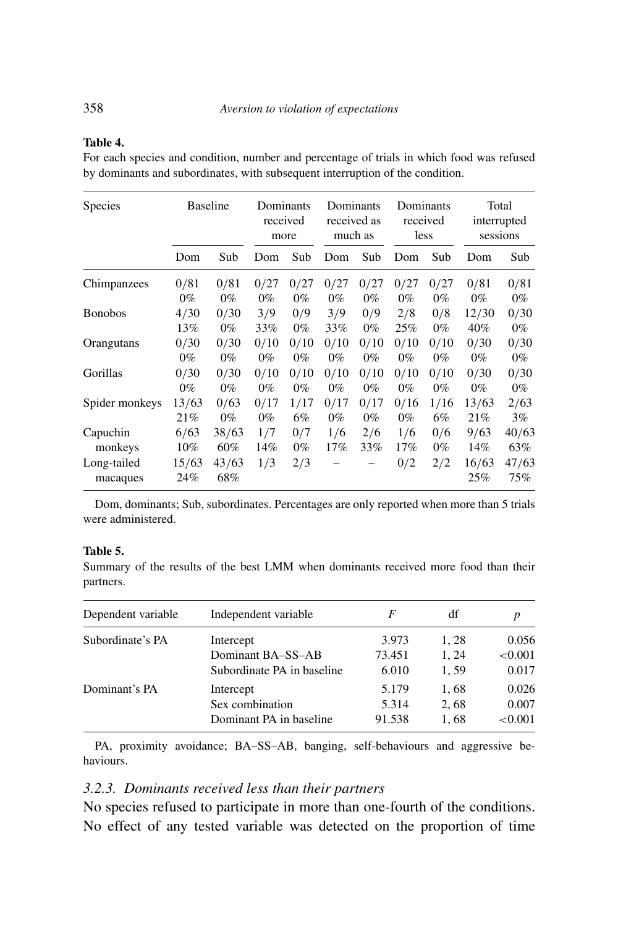#### **Table 4.**

For each species and condition, number and percentage of trials in which food was refused by dominants and subordinates, with subsequent interruption of the condition.

| <b>Species</b>          | <b>Baseline</b> |              | Dominants<br>received<br>more |       | Dominants<br>received as<br>much as |       | Dominants<br>received<br>less |       | Total<br>interrupted<br>sessions |              |
|-------------------------|-----------------|--------------|-------------------------------|-------|-------------------------------------|-------|-------------------------------|-------|----------------------------------|--------------|
|                         | Dom             | Sub          | Dom                           | Sub   | Dom                                 | Sub   | Dom                           | Sub   | Dom                              | Sub          |
| Chimpanzees             | 0/81            | 0/81         | 0/27                          | 0/27  | 0/27                                | 0/27  | 0/27                          | 0/27  | 0/81                             | 0/81         |
|                         | $0\%$           | $0\%$        | $0\%$                         | $0\%$ | $0\%$                               | $0\%$ | 0%                            | $0\%$ | $0\%$                            | $0\%$        |
| <b>B</b> onobos         | 4/30            | 0/30         | 3/9                           | 0/9   | 3/9                                 | 0/9   | 2/8                           | 0/8   | 12/30                            | 0/30         |
|                         | 13%             | $0\%$        | 33%                           | $0\%$ | 33%                                 | $0\%$ | 25%                           | $0\%$ | 40%                              | $0\%$        |
| Orangutans              | 0/30            | 0/30         | 0/10                          | 0/10  | 0/10                                | 0/10  | 0/10                          | 0/10  | 0/30                             | 0/30         |
|                         | $0\%$           | $0\%$        | $0\%$                         | $0\%$ | $0\%$                               | $0\%$ | $0\%$                         | $0\%$ | $0\%$                            | $0\%$        |
| Gorillas                | 0/30            | 0/30         | 0/10                          | 0/10  | 0/10                                | 0/10  | 0/10                          | 0/10  | 0/30                             | 0/30         |
|                         | $0\%$           | $0\%$        | $0\%$                         | $0\%$ | $0\%$                               | $0\%$ | $0\%$                         | $0\%$ | $0\%$                            | $0\%$        |
| Spider monkeys          | 13/63           | 0/63         | 0/17                          | 1/17  | 0/17                                | 0/17  | 0/16                          | 1/16  | 13/63                            | 2/63         |
|                         | 21%             | $0\%$        | $0\%$                         | 6%    | $0\%$                               | $0\%$ | $0\%$                         | 6%    | 21%                              | $3\%$        |
| Capuchin                | 6/63            | 38/63        | 1/7                           | 0/7   | 1/6                                 | 2/6   | 1/6                           | 0/6   | 9/63                             | 40/63        |
| monkeys                 | $10\%$          | 60%          | 14%                           | $0\%$ | 17%                                 | 33%   | 17%                           | $0\%$ | 14%                              | 63%          |
| Long-tailed<br>macaques | 15/63<br>24%    | 43/63<br>68% | 1/3                           | 2/3   |                                     |       | 0/2                           | 2/2   | 16/63<br>25%                     | 47/63<br>75% |

Dom, dominants; Sub, subordinates. Percentages are only reported when more than 5 trials were administered.

#### **Table 5.**

Summary of the results of the best LMM when dominants received more food than their partners.

| Dependent variable | Independent variable       | F      | df   |            |
|--------------------|----------------------------|--------|------|------------|
| Subordinate's PA   | Intercept                  | 3.973  | 1.28 | 0.056      |
|                    | Dominant BA-SS-AB          | 73.451 | 1.24 | < 0.001    |
|                    | Subordinate PA in baseline | 6.010  | 1.59 | 0.017      |
| Dominant's PA      | Intercept                  | 5.179  | 1.68 | 0.026      |
|                    | Sex combination            | 5.314  | 2.68 | 0.007      |
|                    | Dominant PA in baseline    | 91.538 | 1.68 | ${<}0.001$ |

PA, proximity avoidance; BA–SS–AB, banging, self-behaviours and aggressive behaviours.

# *3.2.3. Dominants received less than their partners*

No species refused to participate in more than one-fourth of the conditions. No effect of any tested variable was detected on the proportion of time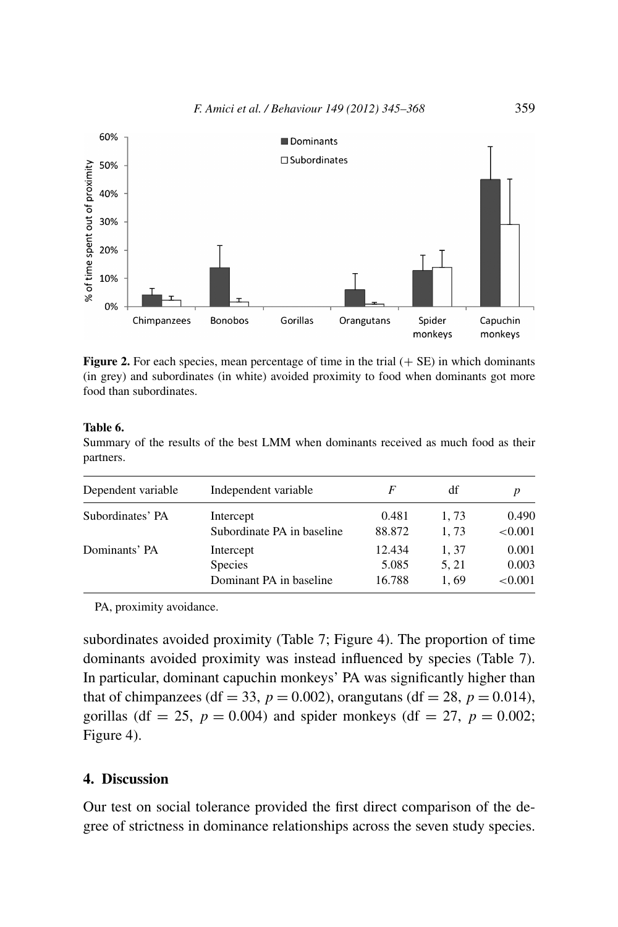

**Figure 2.** For each species, mean percentage of time in the trial  $(+ \text{SE})$  in which dominants (in grey) and subordinates (in white) avoided proximity to food when dominants got more food than subordinates.

#### **Table 6.**

Summary of the results of the best LMM when dominants received as much food as their partners.

| Dependent variable | Independent variable        |                 | df           | p                   |
|--------------------|-----------------------------|-----------------|--------------|---------------------|
| Subordinates' PA   | Intercept                   | 0.481<br>88.872 | 1.73         | 0.490               |
|                    | Subordinate PA in baseline  | 12.434          | 1.73         | ${<}0.001$<br>0.001 |
| Dominants' PA      | Intercept<br><b>Species</b> | 5.085           | 1.37<br>5.21 | 0.003               |
|                    | Dominant PA in baseline     | 16.788          | 1.69         | < 0.001             |

PA, proximity avoidance.

subordinates avoided proximity (Table 7; Figure 4). The proportion of time dominants avoided proximity was instead influenced by species (Table 7). In particular, dominant capuchin monkeys' PA was significantly higher than that of chimpanzees (df = 33,  $p = 0.002$ ), orangutans (df = 28,  $p = 0.014$ ), gorillas (df = 25,  $p = 0.004$ ) and spider monkeys (df = 27,  $p = 0.002$ ; Figure 4).

# **4. Discussion**

Our test on social tolerance provided the first direct comparison of the degree of strictness in dominance relationships across the seven study species.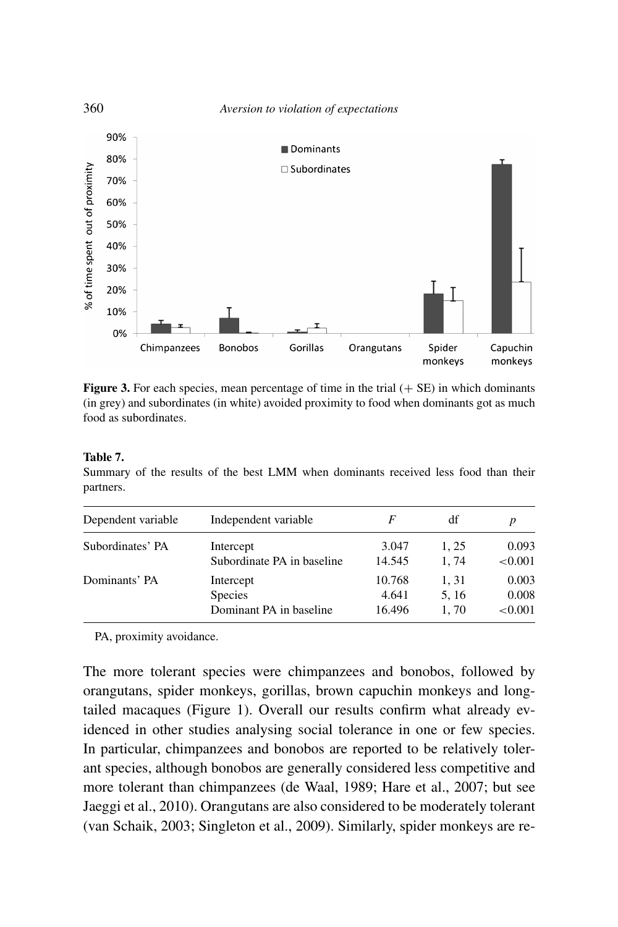

**Figure 3.** For each species, mean percentage of time in the trial  $(+ \text{ SE})$  in which dominants (in grey) and subordinates (in white) avoided proximity to food when dominants got as much food as subordinates.

#### **Table 7.**

Summary of the results of the best LMM when dominants received less food than their partners.

| Dependent variable | Independent variable       |        | df    |            |
|--------------------|----------------------------|--------|-------|------------|
| Subordinates' PA   | Intercept                  | 3.047  | 1.25  | 0.093      |
|                    | Subordinate PA in baseline | 14.545 | 1.74  | < 0.001    |
| Dominants' PA      | Intercept                  | 10.768 | 1.31  | 0.003      |
|                    | <b>Species</b>             | 4.641  | 5, 16 | 0.008      |
|                    | Dominant PA in baseline    | 16.496 | 1.70  | ${<}0.001$ |

PA, proximity avoidance.

The more tolerant species were chimpanzees and bonobos, followed by orangutans, spider monkeys, gorillas, brown capuchin monkeys and longtailed macaques (Figure 1). Overall our results confirm what already evidenced in other studies analysing social tolerance in one or few species. In particular, chimpanzees and bonobos are reported to be relatively tolerant species, although bonobos are generally considered less competitive and more tolerant than chimpanzees (de Waal, 1989; Hare et al., 2007; but see Jaeggi et al., 2010). Orangutans are also considered to be moderately tolerant (van Schaik, 2003; Singleton et al., 2009). Similarly, spider monkeys are re-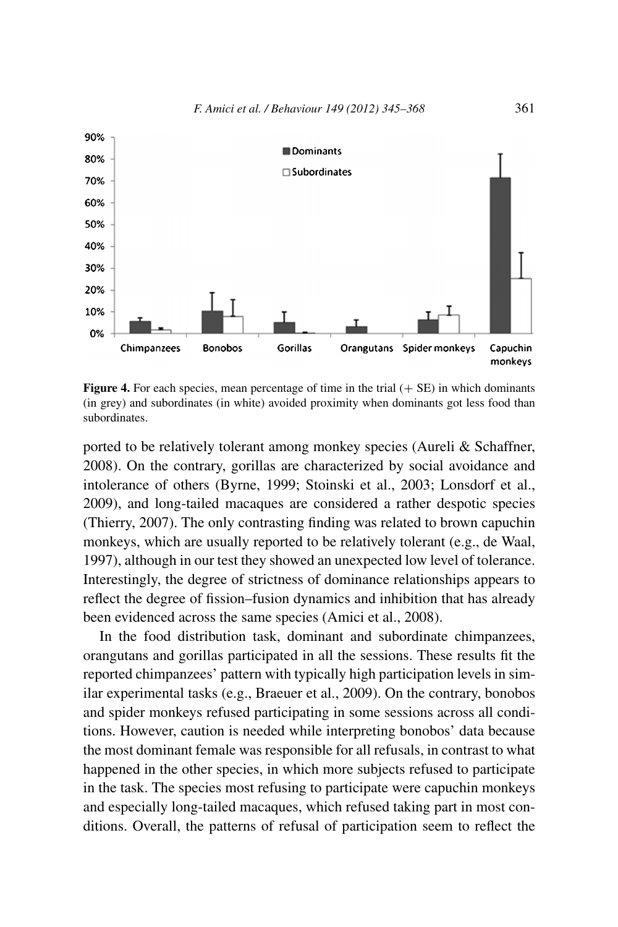

**Figure 4.** For each species, mean percentage of time in the trial  $(+ \text{ SE})$  in which dominants (in grey) and subordinates (in white) avoided proximity when dominants got less food than subordinates.

ported to be relatively tolerant among monkey species (Aureli & Schaffner, 2008). On the contrary, gorillas are characterized by social avoidance and intolerance of others (Byrne, 1999; Stoinski et al., 2003; Lonsdorf et al., 2009), and long-tailed macaques are considered a rather despotic species (Thierry, 2007). The only contrasting finding was related to brown capuchin monkeys, which are usually reported to be relatively tolerant (e.g., de Waal, 1997), although in our test they showed an unexpected low level of tolerance. Interestingly, the degree of strictness of dominance relationships appears to reflect the degree of fission–fusion dynamics and inhibition that has already been evidenced across the same species (Amici et al., 2008).

In the food distribution task, dominant and subordinate chimpanzees, orangutans and gorillas participated in all the sessions. These results fit the reported chimpanzees' pattern with typically high participation levels in similar experimental tasks (e.g., Braeuer et al., 2009). On the contrary, bonobos and spider monkeys refused participating in some sessions across all conditions. However, caution is needed while interpreting bonobos' data because the most dominant female was responsible for all refusals, in contrast to what happened in the other species, in which more subjects refused to participate in the task. The species most refusing to participate were capuchin monkeys and especially long-tailed macaques, which refused taking part in most conditions. Overall, the patterns of refusal of participation seem to reflect the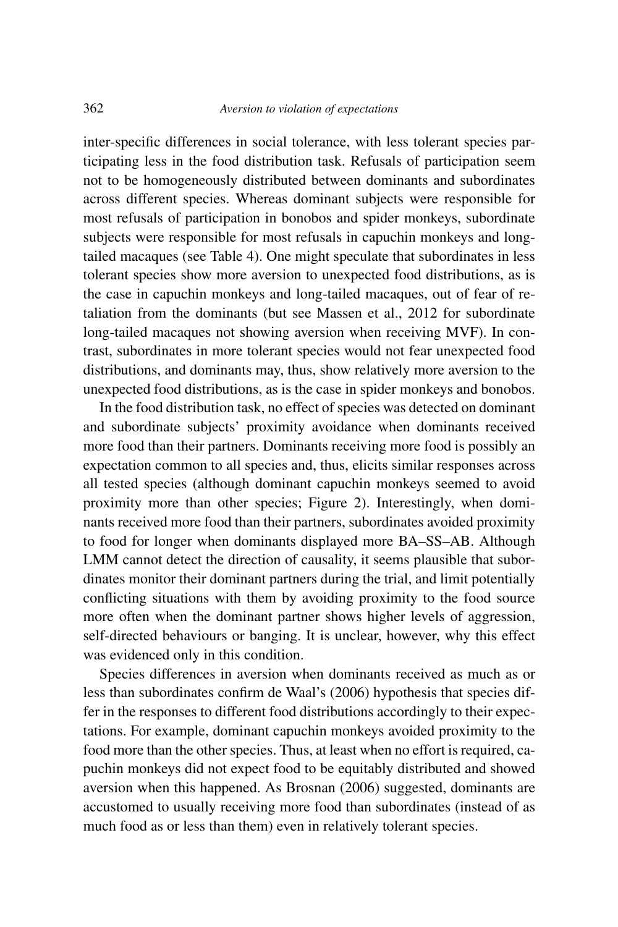inter-specific differences in social tolerance, with less tolerant species participating less in the food distribution task. Refusals of participation seem not to be homogeneously distributed between dominants and subordinates across different species. Whereas dominant subjects were responsible for most refusals of participation in bonobos and spider monkeys, subordinate subjects were responsible for most refusals in capuchin monkeys and longtailed macaques (see Table 4). One might speculate that subordinates in less tolerant species show more aversion to unexpected food distributions, as is the case in capuchin monkeys and long-tailed macaques, out of fear of retaliation from the dominants (but see Massen et al., 2012 for subordinate long-tailed macaques not showing aversion when receiving MVF). In contrast, subordinates in more tolerant species would not fear unexpected food distributions, and dominants may, thus, show relatively more aversion to the unexpected food distributions, as is the case in spider monkeys and bonobos.

In the food distribution task, no effect of species was detected on dominant and subordinate subjects' proximity avoidance when dominants received more food than their partners. Dominants receiving more food is possibly an expectation common to all species and, thus, elicits similar responses across all tested species (although dominant capuchin monkeys seemed to avoid proximity more than other species; Figure 2). Interestingly, when dominants received more food than their partners, subordinates avoided proximity to food for longer when dominants displayed more BA–SS–AB. Although LMM cannot detect the direction of causality, it seems plausible that subordinates monitor their dominant partners during the trial, and limit potentially conflicting situations with them by avoiding proximity to the food source more often when the dominant partner shows higher levels of aggression, self-directed behaviours or banging. It is unclear, however, why this effect was evidenced only in this condition.

Species differences in aversion when dominants received as much as or less than subordinates confirm de Waal's (2006) hypothesis that species differ in the responses to different food distributions accordingly to their expectations. For example, dominant capuchin monkeys avoided proximity to the food more than the other species. Thus, at least when no effort is required, capuchin monkeys did not expect food to be equitably distributed and showed aversion when this happened. As Brosnan (2006) suggested, dominants are accustomed to usually receiving more food than subordinates (instead of as much food as or less than them) even in relatively tolerant species.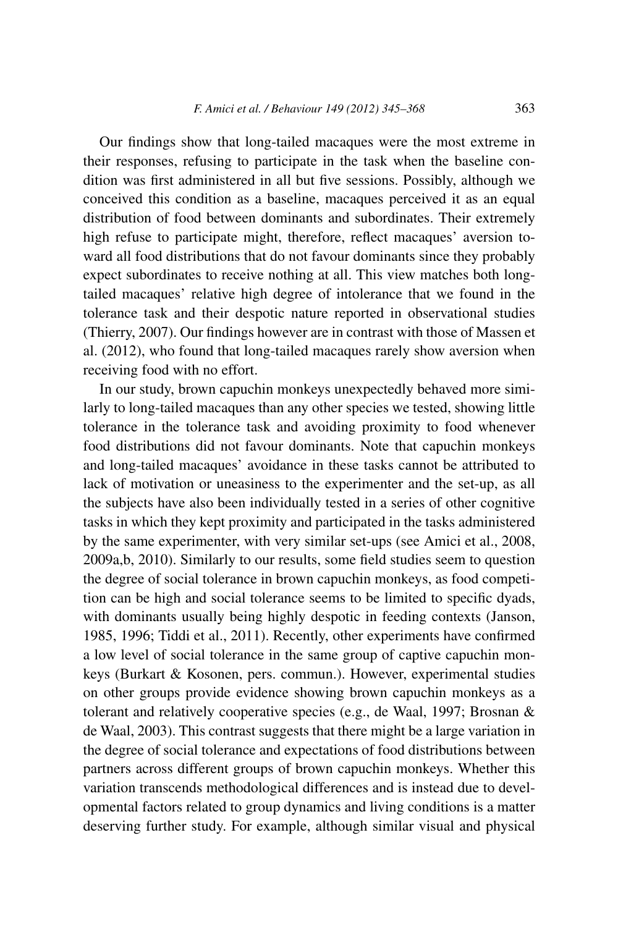Our findings show that long-tailed macaques were the most extreme in their responses, refusing to participate in the task when the baseline condition was first administered in all but five sessions. Possibly, although we conceived this condition as a baseline, macaques perceived it as an equal distribution of food between dominants and subordinates. Their extremely high refuse to participate might, therefore, reflect macaques' aversion toward all food distributions that do not favour dominants since they probably expect subordinates to receive nothing at all. This view matches both longtailed macaques' relative high degree of intolerance that we found in the tolerance task and their despotic nature reported in observational studies (Thierry, 2007). Our findings however are in contrast with those of Massen et al. (2012), who found that long-tailed macaques rarely show aversion when receiving food with no effort.

In our study, brown capuchin monkeys unexpectedly behaved more similarly to long-tailed macaques than any other species we tested, showing little tolerance in the tolerance task and avoiding proximity to food whenever food distributions did not favour dominants. Note that capuchin monkeys and long-tailed macaques' avoidance in these tasks cannot be attributed to lack of motivation or uneasiness to the experimenter and the set-up, as all the subjects have also been individually tested in a series of other cognitive tasks in which they kept proximity and participated in the tasks administered by the same experimenter, with very similar set-ups (see Amici et al., 2008, 2009a,b, 2010). Similarly to our results, some field studies seem to question the degree of social tolerance in brown capuchin monkeys, as food competition can be high and social tolerance seems to be limited to specific dyads, with dominants usually being highly despotic in feeding contexts (Janson, 1985, 1996; Tiddi et al., 2011). Recently, other experiments have confirmed a low level of social tolerance in the same group of captive capuchin monkeys (Burkart & Kosonen, pers. commun.). However, experimental studies on other groups provide evidence showing brown capuchin monkeys as a tolerant and relatively cooperative species (e.g., de Waal, 1997; Brosnan & de Waal, 2003). This contrast suggests that there might be a large variation in the degree of social tolerance and expectations of food distributions between partners across different groups of brown capuchin monkeys. Whether this variation transcends methodological differences and is instead due to developmental factors related to group dynamics and living conditions is a matter deserving further study. For example, although similar visual and physical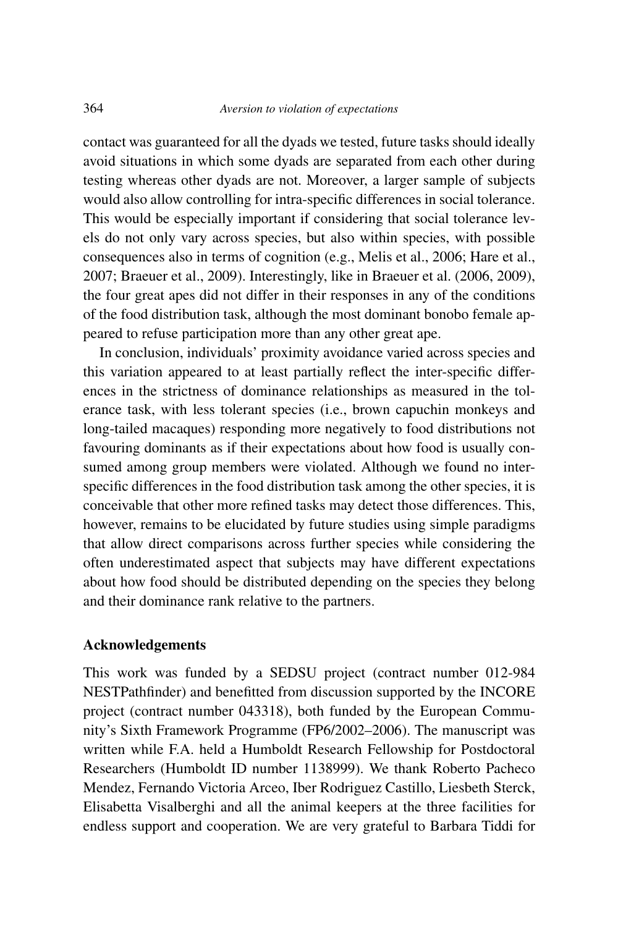contact was guaranteed for all the dyads we tested, future tasks should ideally avoid situations in which some dyads are separated from each other during testing whereas other dyads are not. Moreover, a larger sample of subjects would also allow controlling for intra-specific differences in social tolerance. This would be especially important if considering that social tolerance levels do not only vary across species, but also within species, with possible consequences also in terms of cognition (e.g., Melis et al., 2006; Hare et al., 2007; Braeuer et al., 2009). Interestingly, like in Braeuer et al. (2006, 2009), the four great apes did not differ in their responses in any of the conditions of the food distribution task, although the most dominant bonobo female appeared to refuse participation more than any other great ape.

In conclusion, individuals' proximity avoidance varied across species and this variation appeared to at least partially reflect the inter-specific differences in the strictness of dominance relationships as measured in the tolerance task, with less tolerant species (i.e., brown capuchin monkeys and long-tailed macaques) responding more negatively to food distributions not favouring dominants as if their expectations about how food is usually consumed among group members were violated. Although we found no interspecific differences in the food distribution task among the other species, it is conceivable that other more refined tasks may detect those differences. This, however, remains to be elucidated by future studies using simple paradigms that allow direct comparisons across further species while considering the often underestimated aspect that subjects may have different expectations about how food should be distributed depending on the species they belong and their dominance rank relative to the partners.

# **Acknowledgements**

This work was funded by a SEDSU project (contract number 012-984 NESTPathfinder) and benefitted from discussion supported by the INCORE project (contract number 043318), both funded by the European Community's Sixth Framework Programme (FP6/2002–2006). The manuscript was written while F.A. held a Humboldt Research Fellowship for Postdoctoral Researchers (Humboldt ID number 1138999). We thank Roberto Pacheco Mendez, Fernando Victoria Arceo, Iber Rodriguez Castillo, Liesbeth Sterck, Elisabetta Visalberghi and all the animal keepers at the three facilities for endless support and cooperation. We are very grateful to Barbara Tiddi for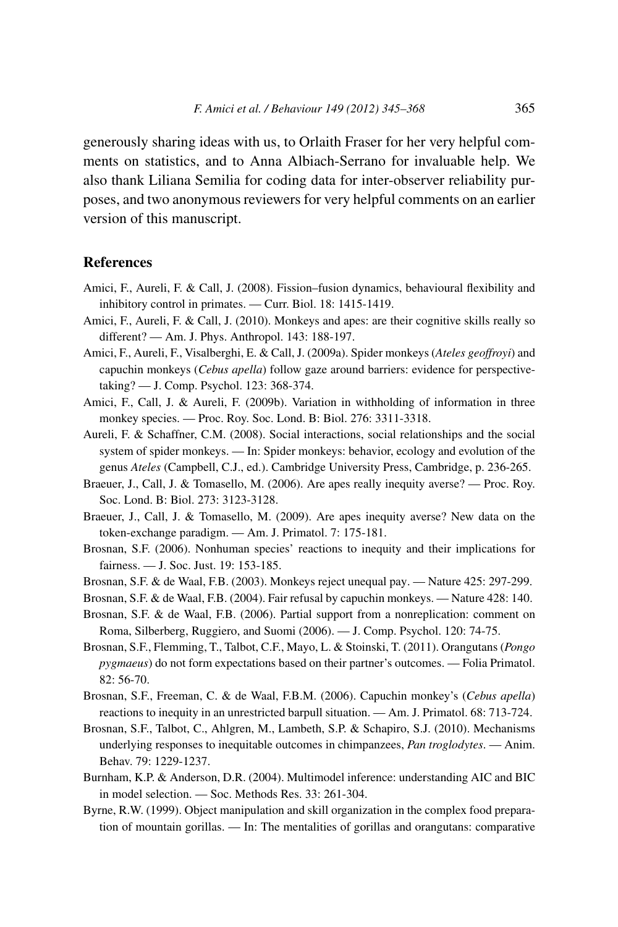generously sharing ideas with us, to Orlaith Fraser for her very helpful comments on statistics, and to Anna Albiach-Serrano for invaluable help. We also thank Liliana Semilia for coding data for inter-observer reliability purposes, and two anonymous reviewers for very helpful comments on an earlier version of this manuscript.

# **References**

- Amici, F., Aureli, F. & Call, J. (2008). Fission–fusion dynamics, behavioural flexibility and inhibitory control in primates. — Curr. Biol. 18: 1415-1419.
- Amici, F., Aureli, F. & Call, J. (2010). Monkeys and apes: are their cognitive skills really so different? — Am. J. Phys. Anthropol. 143: 188-197.
- Amici, F., Aureli, F., Visalberghi, E. & Call, J. (2009a). Spider monkeys (*Ateles geoffroyi*) and capuchin monkeys (*Cebus apella*) follow gaze around barriers: evidence for perspectivetaking? — J. Comp. Psychol. 123: 368-374.
- Amici, F., Call, J. & Aureli, F. (2009b). Variation in withholding of information in three monkey species. — Proc. Roy. Soc. Lond. B: Biol. 276: 3311-3318.
- Aureli, F. & Schaffner, C.M. (2008). Social interactions, social relationships and the social system of spider monkeys. — In: Spider monkeys: behavior, ecology and evolution of the genus *Ateles* (Campbell, C.J., ed.). Cambridge University Press, Cambridge, p. 236-265.
- Braeuer, J., Call, J. & Tomasello, M. (2006). Are apes really inequity averse? Proc. Roy. Soc. Lond. B: Biol. 273: 3123-3128.
- Braeuer, J., Call, J. & Tomasello, M. (2009). Are apes inequity averse? New data on the token-exchange paradigm. — Am. J. Primatol. 7: 175-181.
- Brosnan, S.F. (2006). Nonhuman species' reactions to inequity and their implications for fairness. — J. Soc. Just. 19: 153-185.
- Brosnan, S.F. & de Waal, F.B. (2003). Monkeys reject unequal pay. Nature 425: 297-299.
- Brosnan, S.F. & de Waal, F.B. (2004). Fair refusal by capuchin monkeys. Nature 428: 140.
- Brosnan, S.F. & de Waal, F.B. (2006). Partial support from a nonreplication: comment on Roma, Silberberg, Ruggiero, and Suomi (2006). — J. Comp. Psychol. 120: 74-75.
- Brosnan, S.F., Flemming, T., Talbot, C.F., Mayo, L. & Stoinski, T. (2011). Orangutans (*Pongo pygmaeus*) do not form expectations based on their partner's outcomes. — Folia Primatol. 82: 56-70.
- Brosnan, S.F., Freeman, C. & de Waal, F.B.M. (2006). Capuchin monkey's (*Cebus apella*) reactions to inequity in an unrestricted barpull situation. — Am. J. Primatol. 68: 713-724.
- Brosnan, S.F., Talbot, C., Ahlgren, M., Lambeth, S.P. & Schapiro, S.J. (2010). Mechanisms underlying responses to inequitable outcomes in chimpanzees, *Pan troglodytes*. — Anim. Behav. 79: 1229-1237.
- Burnham, K.P. & Anderson, D.R. (2004). Multimodel inference: understanding AIC and BIC in model selection. — Soc. Methods Res. 33: 261-304.
- Byrne, R.W. (1999). Object manipulation and skill organization in the complex food preparation of mountain gorillas. — In: The mentalities of gorillas and orangutans: comparative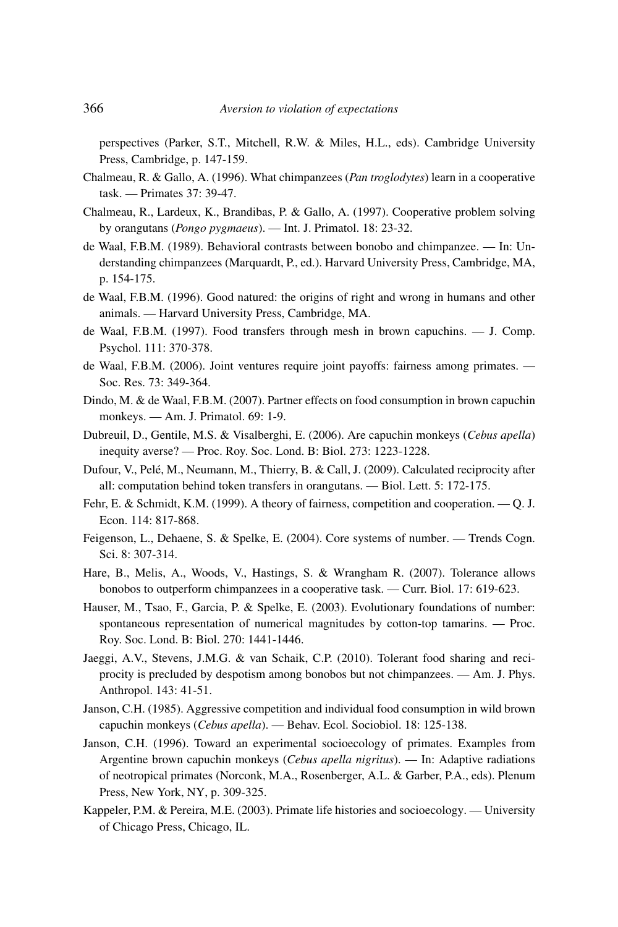perspectives (Parker, S.T., Mitchell, R.W. & Miles, H.L., eds). Cambridge University Press, Cambridge, p. 147-159.

- Chalmeau, R. & Gallo, A. (1996). What chimpanzees (*Pan troglodytes*) learn in a cooperative task. — Primates 37: 39-47.
- Chalmeau, R., Lardeux, K., Brandibas, P. & Gallo, A. (1997). Cooperative problem solving by orangutans (*Pongo pygmaeus*). — Int. J. Primatol. 18: 23-32.
- de Waal, F.B.M. (1989). Behavioral contrasts between bonobo and chimpanzee. In: Understanding chimpanzees (Marquardt, P., ed.). Harvard University Press, Cambridge, MA, p. 154-175.
- de Waal, F.B.M. (1996). Good natured: the origins of right and wrong in humans and other animals. — Harvard University Press, Cambridge, MA.
- de Waal, F.B.M. (1997). Food transfers through mesh in brown capuchins. J. Comp. Psychol. 111: 370-378.
- de Waal, F.B.M. (2006). Joint ventures require joint payoffs: fairness among primates. Soc. Res. 73: 349-364.
- Dindo, M. & de Waal, F.B.M. (2007). Partner effects on food consumption in brown capuchin monkeys. — Am. J. Primatol. 69: 1-9.
- Dubreuil, D., Gentile, M.S. & Visalberghi, E. (2006). Are capuchin monkeys (*Cebus apella*) inequity averse? — Proc. Roy. Soc. Lond. B: Biol. 273: 1223-1228.
- Dufour, V., Pelé, M., Neumann, M., Thierry, B. & Call, J. (2009). Calculated reciprocity after all: computation behind token transfers in orangutans. — Biol. Lett. 5: 172-175.
- Fehr, E. & Schmidt, K.M. (1999). A theory of fairness, competition and cooperation. Q. J. Econ. 114: 817-868.
- Feigenson, L., Dehaene, S. & Spelke, E. (2004). Core systems of number. Trends Cogn. Sci. 8: 307-314.
- Hare, B., Melis, A., Woods, V., Hastings, S. & Wrangham R. (2007). Tolerance allows bonobos to outperform chimpanzees in a cooperative task. — Curr. Biol. 17: 619-623.
- Hauser, M., Tsao, F., Garcia, P. & Spelke, E. (2003). Evolutionary foundations of number: spontaneous representation of numerical magnitudes by cotton-top tamarins. — Proc. Roy. Soc. Lond. B: Biol. 270: 1441-1446.
- Jaeggi, A.V., Stevens, J.M.G. & van Schaik, C.P. (2010). Tolerant food sharing and reciprocity is precluded by despotism among bonobos but not chimpanzees. — Am. J. Phys. Anthropol. 143: 41-51.
- Janson, C.H. (1985). Aggressive competition and individual food consumption in wild brown capuchin monkeys (*Cebus apella*). — Behav. Ecol. Sociobiol. 18: 125-138.
- Janson, C.H. (1996). Toward an experimental socioecology of primates. Examples from Argentine brown capuchin monkeys (*Cebus apella nigritus*). — In: Adaptive radiations of neotropical primates (Norconk, M.A., Rosenberger, A.L. & Garber, P.A., eds). Plenum Press, New York, NY, p. 309-325.
- Kappeler, P.M. & Pereira, M.E. (2003). Primate life histories and socioecology. University of Chicago Press, Chicago, IL.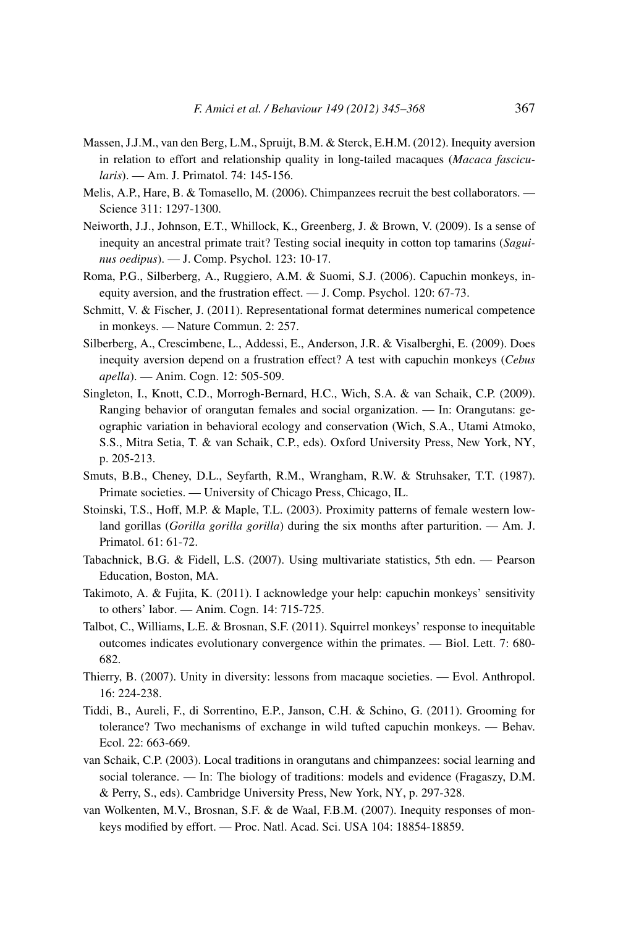- Massen, J.J.M., van den Berg, L.M., Spruijt, B.M. & Sterck, E.H.M. (2012). Inequity aversion in relation to effort and relationship quality in long-tailed macaques (*Macaca fascicularis*). — Am. J. Primatol. 74: 145-156.
- Melis, A.P., Hare, B. & Tomasello, M. (2006). Chimpanzees recruit the best collaborators. Science 311: 1297-1300.
- Neiworth, J.J., Johnson, E.T., Whillock, K., Greenberg, J. & Brown, V. (2009). Is a sense of inequity an ancestral primate trait? Testing social inequity in cotton top tamarins (*Saguinus oedipus*). — J. Comp. Psychol. 123: 10-17.
- Roma, P.G., Silberberg, A., Ruggiero, A.M. & Suomi, S.J. (2006). Capuchin monkeys, inequity aversion, and the frustration effect. — J. Comp. Psychol. 120: 67-73.
- Schmitt, V. & Fischer, J. (2011). Representational format determines numerical competence in monkeys. — Nature Commun. 2: 257.
- Silberberg, A., Crescimbene, L., Addessi, E., Anderson, J.R. & Visalberghi, E. (2009). Does inequity aversion depend on a frustration effect? A test with capuchin monkeys (*Cebus apella*). — Anim. Cogn. 12: 505-509.
- Singleton, I., Knott, C.D., Morrogh-Bernard, H.C., Wich, S.A. & van Schaik, C.P. (2009). Ranging behavior of orangutan females and social organization. — In: Orangutans: geographic variation in behavioral ecology and conservation (Wich, S.A., Utami Atmoko, S.S., Mitra Setia, T. & van Schaik, C.P., eds). Oxford University Press, New York, NY, p. 205-213.
- Smuts, B.B., Cheney, D.L., Seyfarth, R.M., Wrangham, R.W. & Struhsaker, T.T. (1987). Primate societies. — University of Chicago Press, Chicago, IL.
- Stoinski, T.S., Hoff, M.P. & Maple, T.L. (2003). Proximity patterns of female western lowland gorillas (*Gorilla gorilla gorilla*) during the six months after parturition. — Am. J. Primatol. 61: 61-72.
- Tabachnick, B.G. & Fidell, L.S. (2007). Using multivariate statistics, 5th edn. Pearson Education, Boston, MA.
- Takimoto, A. & Fujita, K. (2011). I acknowledge your help: capuchin monkeys' sensitivity to others' labor. — Anim. Cogn. 14: 715-725.
- Talbot, C., Williams, L.E. & Brosnan, S.F. (2011). Squirrel monkeys' response to inequitable outcomes indicates evolutionary convergence within the primates. — Biol. Lett. 7: 680- 682.
- Thierry, B. (2007). Unity in diversity: lessons from macaque societies. Evol. Anthropol. 16: 224-238.
- Tiddi, B., Aureli, F., di Sorrentino, E.P., Janson, C.H. & Schino, G. (2011). Grooming for tolerance? Two mechanisms of exchange in wild tufted capuchin monkeys. — Behav. Ecol. 22: 663-669.
- van Schaik, C.P. (2003). Local traditions in orangutans and chimpanzees: social learning and social tolerance. — In: The biology of traditions: models and evidence (Fragaszy, D.M. & Perry, S., eds). Cambridge University Press, New York, NY, p. 297-328.
- van Wolkenten, M.V., Brosnan, S.F. & de Waal, F.B.M. (2007). Inequity responses of monkeys modified by effort. — Proc. Natl. Acad. Sci. USA 104: 18854-18859.